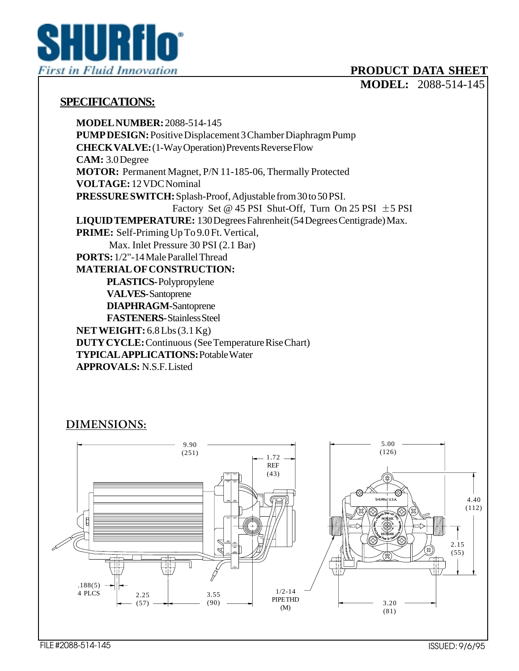

## **PRODUCT DATA SHEET**

**MODEL:** 2088-514-145

## **SPECIFICATIONS:**

**MODEL NUMBER:** 2088-514-145 **PUMP DESIGN:** Positive Displacement 3 Chamber Diaphragm Pump **CHECK VALVE:** (1-Way Operation) Prevents Reverse Flow **CAM:** 3.0 Degree **MOTOR:** Permanent Magnet, P/N 11-185-06, Thermally Protected **VOLTAGE:** 12 VDC Nominal **PRESSURE SWITCH:** Splash-Proof, Adjustable from 30 to 50 PSI. Factory Set @ 45 PSI Shut-Off, Turn On 25 PSI  $\pm$  5 PSI **LIQUID TEMPERATURE:** 130 Degrees Fahrenheit (54 Degrees Centigrade) Max. **PRIME:** Self-Priming Up To 9.0 Ft. Vertical, Max. Inlet Pressure 30 PSI (2.1 Bar) **PORTS:** 1/2"-14 Male Parallel Thread **MATERIAL OF CONSTRUCTION: PLASTICS-** Polypropylene **VALVES-** Santoprene **DIAPHRAGM-**Santoprene **FASTENERS-** Stainless Steel **NET WEIGHT:** 6.8 Lbs (3.1 Kg) **DUTY CYCLE:** Continuous (See Temperature Rise Chart) **TYPICAL APPLICATIONS:** Potable Water **APPROVALS:** N.S.F. Listed

## **DIMENSIONS:**